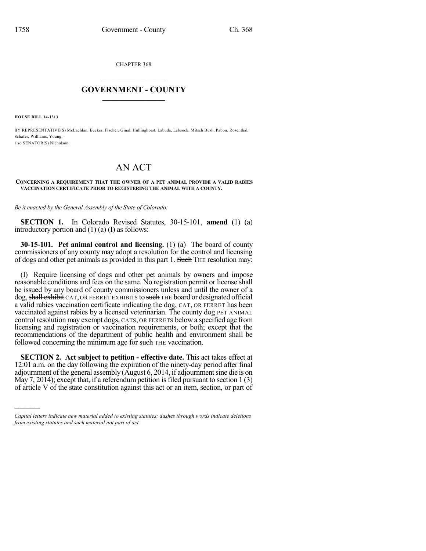CHAPTER 368

## $\overline{\phantom{a}}$  . The set of the set of the set of the set of the set of the set of the set of the set of the set of the set of the set of the set of the set of the set of the set of the set of the set of the set of the set o **GOVERNMENT - COUNTY**  $\_$

**HOUSE BILL 14-1313**

)))))

BY REPRESENTATIVE(S) McLachlan, Becker, Fischer, Ginal, Hullinghorst, Labuda, Lebsock, Mitsch Bush, Pabon, Rosenthal, Schafer, Williams, Young; also SENATOR(S) Nicholson.

## AN ACT

## **CONCERNING A REQUIREMENT THAT THE OWNER OF A PET ANIMAL PROVIDE A VALID RABIES VACCINATION CERTIFICATE PRIOR TO REGISTERING THE ANIMAL WITH A COUNTY.**

*Be it enacted by the General Assembly of the State of Colorado:*

**SECTION 1.** In Colorado Revised Statutes, 30-15-101, **amend** (1) (a) introductory portion and (1) (a) (I) as follows:

**30-15-101. Pet animal control and licensing.** (1) (a) The board of county commissioners of any county may adopt a resolution for the control and licensing of dogs and other pet animals as provided in this part 1. Such THE resolution may:

(I) Require licensing of dogs and other pet animals by owners and impose reasonable conditions and fees on the same. No registration permit or license shall be issued by any board of county commissioners unless and until the owner of a dog, shall exhibit CAT, OR FERRET EXHIBITS to such THE board or designated official a valid rabies vaccination certificate indicating the dog, CAT, OR FERRET has been vaccinated against rabies by a licensed veterinarian. The county dog PET ANIMAL control resolution may exempt dogs, CATS, OR FERRETS below a specified age from licensing and registration or vaccination requirements, or both; except that the recommendations of the department of public health and environment shall be followed concerning the minimum age for such THE vaccination.

**SECTION 2. Act subject to petition - effective date.** This act takes effect at 12:01 a.m. on the day following the expiration of the ninety-day period after final adjournment of the general assembly (August 6, 2014, if adjournmentsine die is on May  $7, 2014$ ); except that, if a referendum petition is filed pursuant to section 1 (3) of article V of the state constitution against this act or an item, section, or part of

*Capital letters indicate new material added to existing statutes; dashes through words indicate deletions from existing statutes and such material not part of act.*